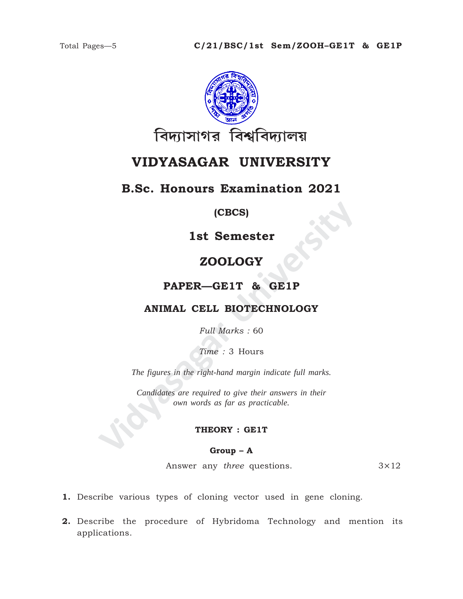

# **VIDYASAGAR UNIVERSITY**

# **B.Sc. Honours Examination 2021**

# **(CBCS)**

**1st Semester**

# **ZOOLOGY**

# **PAPER—GE1T & GE1P**

# **ANIMAL CELL BIOTECHNOLOGY**

*Full Marks :* 60

*Time :* 3 Hours

*The figures in the right-hand margin indicate full marks.*

**IST Semester<br>
ZOOLOGY<br>
PAPER—GE1T & GE1P<br>
ANIMAL CELL BIOTECHNOLOGY<br>
Full Marks : 60<br>
Time : 3 Hours<br>
The figures in the right-hand margin indicate full marks.<br>
Candidates are required to give their answers in their<br>
cove** *Candidates are required to give their answers in their own words as far as practicable.*

### **THEORY : GE1T**

#### **Group – A**

Answer any *three* questions. 3×12

- **1.** Describe various types of cloning vector used in gene cloning.
- **2.** Describe the procedure of Hybridoma Technology and mention its applications.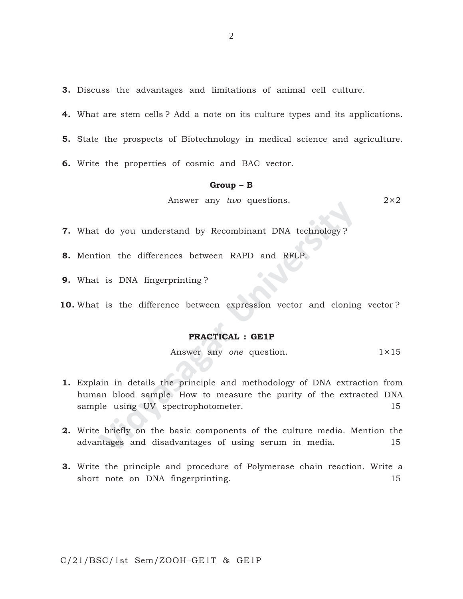**3.** Discuss the advantages and limitations of animal cell culture.

**4.** What are stem cells ? Add a note on its culture types and its applications.

**5.** State the prospects of Biotechnology in medical science and agriculture.

**6.** Write the properties of cosmic and BAC vector.

#### **Group – B**

Answer any *two* questions. 2×2

**7.** What do you understand by Recombinant DNA technology ?

**8.** Mention the differences between RAPD and RFLP.

**9.** What is DNA fingerprinting ?

**10.** What is the difference between expression vector and cloning vector ?

#### **PRACTICAL : GE1P**

Answer any *one* question. 1×15

- Finally and questions.<br> **Example 19 Alternation** DNA technology?<br>
ion the differences between RAPD and RFLP.<br> **EXAMPLE 18 DNA fingerprinting**?<br> **PRACTICAL : GEIP**<br> **PRACTICAL : GEIP**<br>
Answer any *one* question.<br>
ain in det **1.** Explain in details the principle and methodology of DNA extraction from human blood sample. How to measure the purity of the extracted DNA sample using UV spectrophotometer. 15
- **2.** Write briefly on the basic components of the culture media. Mention the advantages and disadvantages of using serum in media. 15
- **3.** Write the principle and procedure of Polymerase chain reaction. Write a short note on DNA fingerprinting. 15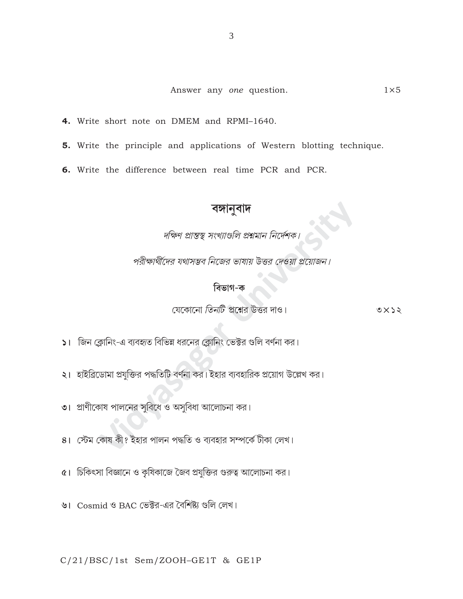- 4. Write short note on DMEM and RPMI-1640.
- 5. Write the principle and applications of Western blotting technique.
- 6. Write the difference between real time PCR and PCR.

**বঙ্গানুবাদ**<br>দক্ষিণ প্রান্তস্থ সংখ্যাগুলি প্রশ্নমান নির্দেশক।

পরীক্ষার্থীদের যথাসম্ভব নিজের ভাষায় উত্তর দেওয়া প্রয়োজন।

# বিভাগ-ক

যেকোনো *তিনটি প্র*শ্নের উত্তর দাও।  $0 \times 25$ 

১। জিন ক্লোনিং-এ ব্যবহৃত বিভিন্ন ধরনের ক্লোনিং ভেক্টর গুলি বর্ণনা কর।

- ২। হাইব্রিডোমা প্রযুক্তির পদ্ধতিটি বর্ণনা কর। ইহার ব্যবহারিক প্রয়োগ উল্লেখ কর।
- $\bullet$ । প্রাণীকোষ পালনের সুবিধে ও অসুবিধা আলোচনা কর।<br>
- । স্টেম কোষ কী? ইহার পালন পদ্ধতি ও ব্যবহার সম্পর্কে টীকা লেখ।
- $\alpha$ । চিকিৎসা বিজ্ঞানে ও কৃষিকাজে জৈব প্রযুক্তির গুরুত্ব আলোচনা কর।
- ৬। Cosmid ও BAC ভেক্টর-এর বৈশিষ্ট্য গুলি লেখ।

 $C/21/BSC/1st$  Sem/ZOOH-GE1T & GE1P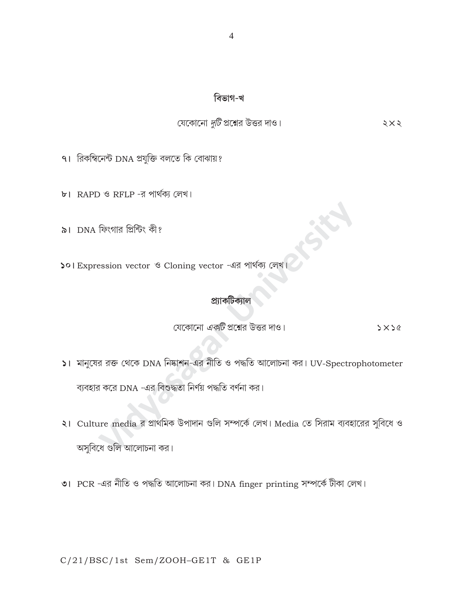## বিভাগ-খ

# যেকোনো দুটি প্রশ্নের উত্তর দাও।

 $5\times$ 

- ৭। রিকম্বিনেন্ট DNA প্রযুক্তি বলতে কি বোঝায়?
- ৮। RAPD ও RFLP -র পার্থক্য লেখ।
- ৯। DNA ফিংগার প্রিন্টিং কী?
- ১০। Expression vector ও Cloning vector -এর পার্থক্য লেখ

#### প্ৰ্যাকটিক্যাল

যেকোনো *একটি* প্রশ্নের উত্তর দাও।  $5x56$ 

- ১। মানুষের রক্ত থেকে DNA নিষ্কাশন-এর নীতি ও পদ্ধতি আলোচনা কর। UV-Spectrophotometer ব্যবহার করে DNA -এর বিশুদ্ধতা নির্ণয় পদ্ধতি বর্ণনা কর।
- ২। Culture media র প্রাথমিক উপাদান গুলি সম্পর্কে লেখ। Media তে সিরাম ব্যবহারের সুবিধে ও অসুবিধে গুলি আলোচনা কর।
- ৩। PCR -এর নীতি ও পদ্ধতি আলোচনা কর। DNA finger printing সম্পর্কে টীকা লেখ।

## C/21/BSC/1st Sem/ZOOH-GE1T & GE1P